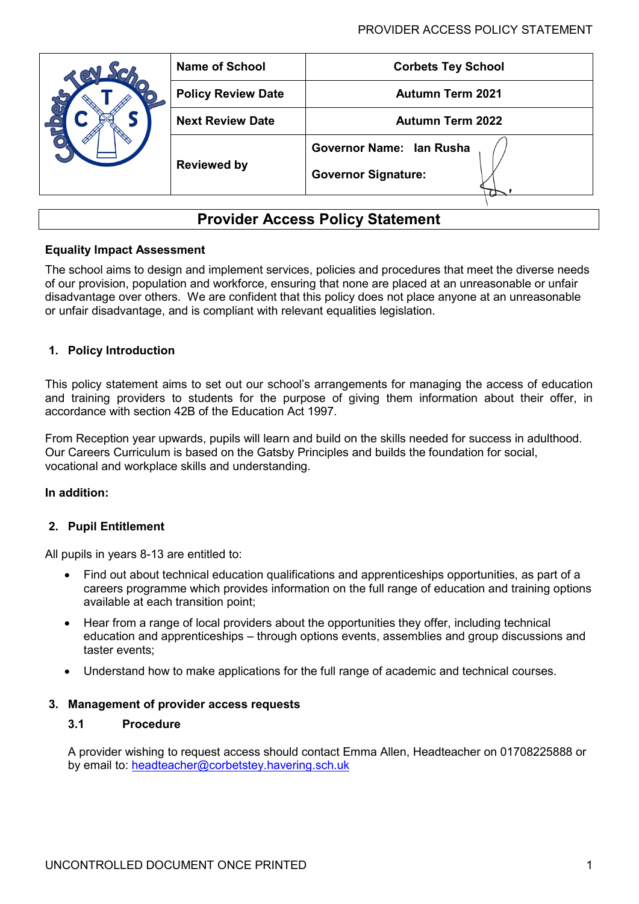|  | <b>Name of School</b>     | <b>Corbets Tey School</b>  |
|--|---------------------------|----------------------------|
|  | <b>Policy Review Date</b> | <b>Autumn Term 2021</b>    |
|  | <b>Next Review Date</b>   | <b>Autumn Term 2022</b>    |
|  | <b>Reviewed by</b>        | Governor Name: Ian Rusha   |
|  |                           | <b>Governor Signature:</b> |
|  |                           |                            |

# **Provider Access Policy Statement**

### **Equality Impact Assessment**

The school aims to design and implement services, policies and procedures that meet the diverse needs of our provision, population and workforce, ensuring that none are placed at an unreasonable or unfair disadvantage over others. We are confident that this policy does not place anyone at an unreasonable or unfair disadvantage, and is compliant with relevant equalities legislation.

### **1. Policy Introduction**

This policy statement aims to set out our school's arrangements for managing the access of education and training providers to students for the purpose of giving them information about their offer, in accordance with section 42B of the Education Act 1997.

From Reception year upwards, pupils will learn and build on the skills needed for success in adulthood. Our Careers Curriculum is based on the Gatsby Principles and builds the foundation for social, vocational and workplace skills and understanding.

#### **In addition:**

### **2. Pupil Entitlement**

All pupils in years 8-13 are entitled to:

- Find out about technical education qualifications and apprenticeships opportunities, as part of a careers programme which provides information on the full range of education and training options available at each transition point;
- Hear from a range of local providers about the opportunities they offer, including technical education and apprenticeships – through options events, assemblies and group discussions and taster events;
- Understand how to make applications for the full range of academic and technical courses.

#### **3. Management of provider access requests**

#### **3.1 Procedure**

A provider wishing to request access should contact Emma Allen, Headteacher on 01708225888 or by email to: [headteacher@corbetstey.havering.sch.uk](mailto:headteacher@corbetstey.havering.sch.uk)